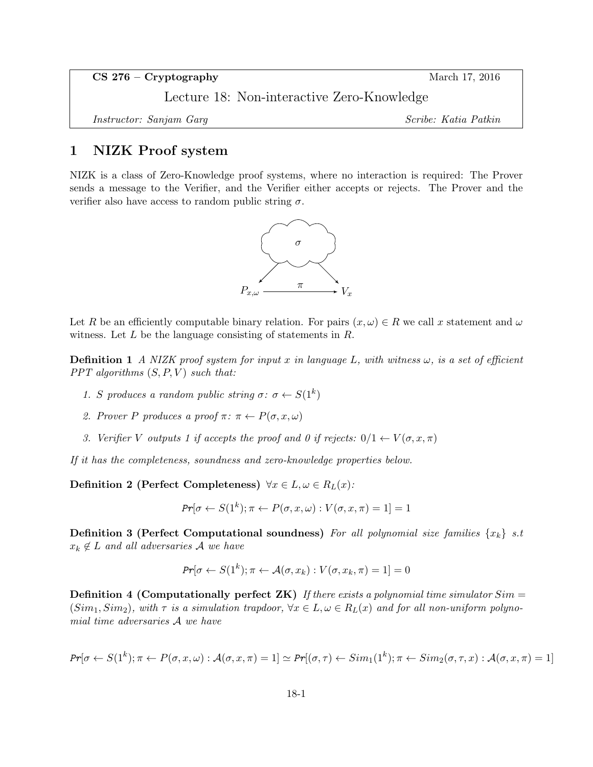CS 276 – Cryptography March 17, 2016

Lecture 18: Non-interactive Zero-Knowledge

Instructor: Sanjam Garg Scribe: Katia Patkin

### 1 NIZK Proof system

NIZK is a class of Zero-Knowledge proof systems, where no interaction is required: The Prover sends a message to the Verifier, and the Verifier either accepts or rejects. The Prover and the verifier also have access to random public string  $\sigma$ .



Let R be an efficiently computable binary relation. For pairs  $(x, \omega) \in R$  we call x statement and  $\omega$ witness. Let  $L$  be the language consisting of statements in  $R$ .

**Definition 1** A NIZK proof system for input x in language L, with witness  $\omega$ , is a set of efficient PPT algorithms  $(S, P, V)$  such that:

- 1. S produces a random public string  $\sigma: \sigma \leftarrow S(1^k)$
- 2. Prover P produces a proof  $\pi: \pi \leftarrow P(\sigma, x, \omega)$
- 3. Verifier V outputs 1 if accepts the proof and 0 if rejects:  $0/1 \leftarrow V(\sigma, x, \pi)$

If it has the completeness, soundness and zero-knowledge properties below.

Definition 2 (Perfect Completeness)  $\forall x \in L, \omega \in R_L(x)$ :

$$
Pr[\sigma \leftarrow S(1^k); \pi \leftarrow P(\sigma, x, \omega) : V(\sigma, x, \pi) = 1] = 1
$$

**Definition 3 (Perfect Computational soundness)** For all polynomial size families  $\{x_k\}$  s.t  $x_k \notin L$  and all adversaries A we have

$$
Pr[\sigma \leftarrow S(1^k); \pi \leftarrow \mathcal{A}(\sigma, x_k) : V(\sigma, x_k, \pi) = 1] = 0
$$

**Definition 4 (Computationally perfect ZK)** If there exists a polynomial time simulator  $Sim =$  $(Sim_1, Sim_2)$ , with  $\tau$  is a simulation trapdoor,  $\forall x \in L, \omega \in R_L(x)$  and for all non-uniform polynomial time adversaries A we have

$$
Pr[\sigma \leftarrow S(1^k); \pi \leftarrow P(\sigma, x, \omega) : \mathcal{A}(\sigma, x, \pi) = 1] \simeq Pr[(\sigma, \tau) \leftarrow Sim_1(1^k); \pi \leftarrow Sim_2(\sigma, \tau, x) : \mathcal{A}(\sigma, x, \pi) = 1]
$$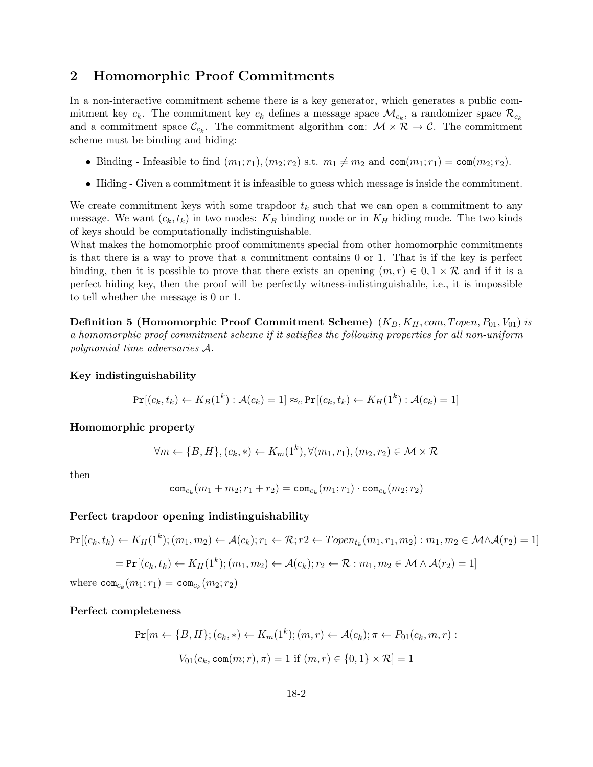## 2 Homomorphic Proof Commitments

In a non-interactive commitment scheme there is a key generator, which generates a public commitment key  $c_k$ . The commitment key  $c_k$  defines a message space  $\mathcal{M}_{c_k}$ , a randomizer space  $\mathcal{R}_{c_k}$ and a commitment space  $\mathcal{C}_{c_k}$ . The commitment algorithm com:  $\mathcal{M} \times \mathcal{R} \to \mathcal{C}$ . The commitment scheme must be binding and hiding:

- Binding Infeasible to find  $(m_1; r_1), (m_2; r_2)$  s.t.  $m_1 \neq m_2$  and  $\text{com}(m_1; r_1) = \text{com}(m_2; r_2)$ .
- Hiding Given a commitment it is infeasible to guess which message is inside the commitment.

We create commitment keys with some trapdoor  $t_k$  such that we can open a commitment to any message. We want  $(c_k, t_k)$  in two modes:  $K_B$  binding mode or in  $K_H$  hiding mode. The two kinds of keys should be computationally indistinguishable.

What makes the homomorphic proof commitments special from other homomorphic commitments is that there is a way to prove that a commitment contains 0 or 1. That is if the key is perfect binding, then it is possible to prove that there exists an opening  $(m, r) \in 0, 1 \times \mathcal{R}$  and if it is a perfect hiding key, then the proof will be perfectly witness-indistinguishable, i.e., it is impossible to tell whether the message is 0 or 1.

**Definition 5 (Homomorphic Proof Commitment Scheme)**  $(K_B, K_H, com, Topen, P_{01}, V_{01})$  is a homomorphic proof commitment scheme if it satisfies the following properties for all non-uniform polynomial time adversaries A.

#### Key indistinguishability

$$
Pr[(c_k, t_k) \leftarrow K_B(1^k) : \mathcal{A}(c_k) = 1] \approx_c Pr[(c_k, t_k) \leftarrow K_H(1^k) : \mathcal{A}(c_k) = 1]
$$

#### Homomorphic property

$$
\forall m \leftarrow \{B, H\}, (c_k, *) \leftarrow K_m(1^k), \forall (m_1, r_1), (m_2, r_2) \in \mathcal{M} \times \mathcal{R}
$$

then

$$
\mathrm{com}_{c_k}(m_1+m_2;r_1+r_2)=\mathrm{com}_{c_k}(m_1;r_1)\cdot \mathrm{com}_{c_k}(m_2;r_2)
$$

#### Perfect trapdoor opening indistinguishability

$$
Pr[(c_k, t_k) \leftarrow K_H(1^k); (m_1, m_2) \leftarrow \mathcal{A}(c_k); r_1 \leftarrow \mathcal{R}; r_2 \leftarrow Topen_{t_k}(m_1, r_1, m_2) : m_1, m_2 \in \mathcal{M} \wedge \mathcal{A}(r_2) = 1]
$$
  
=  $Pr[(c_k, t_k) \leftarrow K_H(1^k); (m_1, m_2) \leftarrow \mathcal{A}(c_k); r_2 \leftarrow \mathcal{R} : m_1, m_2 \in \mathcal{M} \wedge \mathcal{A}(r_2) = 1]$   
where  $com_{c_k}(m_1; r_1) = com_{c_k}(m_2; r_2)$ 

#### Perfect completeness

$$
\Pr[m \leftarrow \{B, H\}; (c_k, *) \leftarrow K_m(1^k); (m, r) \leftarrow \mathcal{A}(c_k); \pi \leftarrow P_{01}(c_k, m, r) :
$$

$$
V_{01}(c_k, \text{com}(m; r), \pi) = 1 \text{ if } (m, r) \in \{0, 1\} \times \mathcal{R} = 1
$$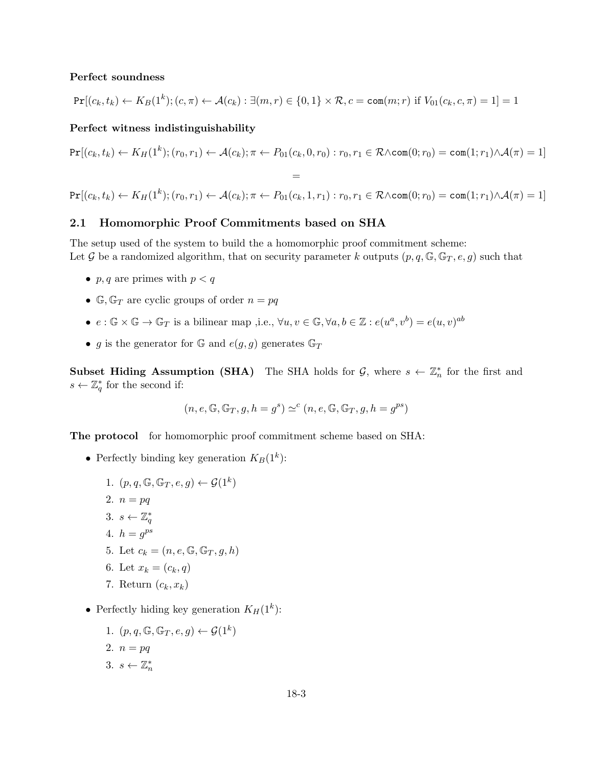#### Perfect soundness

$$
\Pr[(c_k, t_k) \leftarrow K_B(1^k); (c, \pi) \leftarrow \mathcal{A}(c_k) : \exists (m, r) \in \{0, 1\} \times \mathcal{R}, c = \text{com}(m; r) \text{ if } V_{01}(c_k, c, \pi) = 1] = 1
$$

### Perfect witness indistinguishability

$$
Pr[(c_k, t_k) \leftarrow K_H(1^k); (r_0, r_1) \leftarrow \mathcal{A}(c_k); \pi \leftarrow P_{01}(c_k, 0, r_0) : r_0, r_1 \in \mathcal{R} \wedge \text{com}(0; r_0) = \text{com}(1; r_1) \wedge \mathcal{A}(\pi) = 1]
$$
  
=  

$$
Pr[(c_k, t_k) \leftarrow K_H(1^k); (r_0, r_1) \leftarrow \mathcal{A}(c_k); \pi \leftarrow P_{01}(c_k, 1, r_1) : r_0, r_1 \in \mathcal{R} \wedge \text{com}(0; r_0) = \text{com}(1; r_1) \wedge \mathcal{A}(\pi) = 1]
$$

### 2.1 Homomorphic Proof Commitments based on SHA

The setup used of the system to build the a homomorphic proof commitment scheme: Let G be a randomized algorithm, that on security parameter k outputs  $(p, q, \mathbb{G}, \mathbb{G}_T, e, g)$  such that

- p, q are primes with  $p < q$
- $\mathbb{G}, \mathbb{G}_T$  are cyclic groups of order  $n = pq$
- $e: \mathbb{G} \times \mathbb{G} \to \mathbb{G}_T$  is a bilinear map ,i.e.,  $\forall u, v \in \mathbb{G}, \forall a, b \in \mathbb{Z} : e(u^a, v^b) = e(u, v)^{ab}$
- g is the generator for G and  $e(g, g)$  generates  $\mathbb{G}_T$

**Subset Hiding Assumption (SHA)** The SHA holds for  $\mathcal{G}$ , where  $s \leftarrow \mathbb{Z}_n^*$  for the first and  $s \leftarrow \mathbb{Z}_q^*$  for the second if:

$$
(n, e, \mathbb{G}, \mathbb{G}_T, g, h = g^s) \simeq^c (n, e, \mathbb{G}, \mathbb{G}_T, g, h = g^{ps})
$$

The protocol for homomorphic proof commitment scheme based on SHA:

- Perfectly binding key generation  $K_B(1^k)$ :
	- 1.  $(p, q, \mathbb{G}, \mathbb{G}_T, e, g) \leftarrow \mathcal{G}(1^k)$ 2.  $n = pq$ 3.  $s \leftarrow \mathbb{Z}_q^*$ 4.  $h = g^{ps}$ 5. Let  $c_k = (n, e, \mathbb{G}, \mathbb{G}_T, g, h)$ 6. Let  $x_k = (c_k, q)$ 7. Return  $(c_k, x_k)$
- Perfectly hiding key generation  $K_H(1^k)$ :
	- 1.  $(p, q, \mathbb{G}, \mathbb{G}_T, e, g) \leftarrow \mathcal{G}(1^k)$ 2.  $n = pq$ 3.  $s \leftarrow \mathbb{Z}_n^*$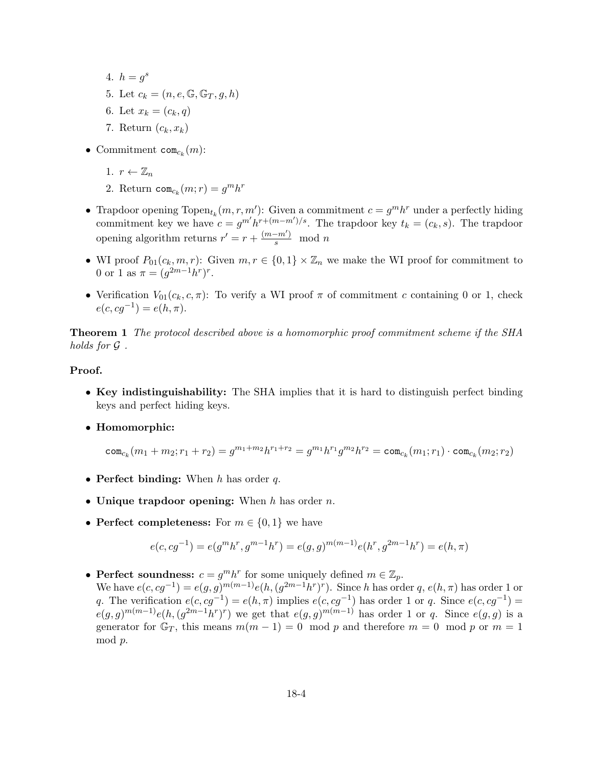- 4.  $h = g^s$ 5. Let  $c_k = (n, e, \mathbb{G}, \mathbb{G}_T, g, h)$ 6. Let  $x_k = (c_k, q)$
- 7. Return  $(c_k, x_k)$
- Commitment  $com_{c_k}(m)$ :
	- 1.  $r \leftarrow \mathbb{Z}_n$
	- 2. Return  $com_{c_k}(m;r) = g^m h^r$
- Trapdoor opening  $Topen_{t_k}(m, r, m')$ : Given a commitment  $c = g^m h^r$  under a perfectly hiding commitment key we have  $c = g^{m'} h^{r+(m-m')/s}$ . The trapdoor key  $t_k = (c_k, s)$ . The trapdoor opening algorithm returns  $r' = r + \frac{(m-m')}{s} \mod n$
- WI proof  $P_{01}(c_k, m, r)$ : Given  $m, r \in \{0, 1\} \times \mathbb{Z}_n$  we make the WI proof for commitment to 0 or 1 as  $\pi = (g^{2m-1}h^r)^r$ .
- Verification  $V_{01}(c_k, c, \pi)$ : To verify a WI proof  $\pi$  of commitment c containing 0 or 1, check  $e(c, cg^{-1}) = e(h, \pi).$

Theorem 1 The protocol described above is a homomorphic proof commitment scheme if the SHA holds for G .

#### Proof.

- Key indistinguishability: The SHA implies that it is hard to distinguish perfect binding keys and perfect hiding keys.
- Homomorphic:

$$
\mathsf{com}_{c_k}(m_1+m_2;r_1+r_2)=g^{m_1+m_2}h^{r_1+r_2}=g^{m_1}h^{r_1}g^{m_2}h^{r_2}=\mathsf{com}_{c_k}(m_1;r_1)\cdot \mathsf{com}_{c_k}(m_2;r_2)
$$

- Perfect binding: When  $h$  has order  $q$ .
- Unique trapdoor opening: When  $h$  has order  $n$ .
- Perfect completeness: For  $m \in \{0, 1\}$  we have

$$
e(c, cg^{-1}) = e(g^m h^r, g^{m-1} h^r) = e(g, g)^{m(m-1)} e(h^r, g^{2m-1} h^r) = e(h, \pi)
$$

• Perfect soundness:  $c = g^m h^r$  for some uniquely defined  $m \in \mathbb{Z}_p$ .

We have  $e(c, cg^{-1}) = e(g, g)^{m(m-1)}e(h, (g^{2m-1}h^r)^r)$ . Since h has order q,  $e(h, \pi)$  has order 1 or q. The verification  $e(c, cg^{-1}) = e(h, \pi)$  implies  $e(c, cg^{-1})$  has order 1 or q. Since  $e(c, cg^{-1}) =$  $e(g,g)^{m(m-1)}e(h,(g^{2m-1}h^r)^r)$  we get that  $e(g,g)^{m(m-1)}$  has order 1 or q. Since  $e(g,g)$  is a generator for  $\mathbb{G}_T$ , this means  $m(m-1) = 0 \mod p$  and therefore  $m = 0 \mod p$  or  $m = 1$ mod p.